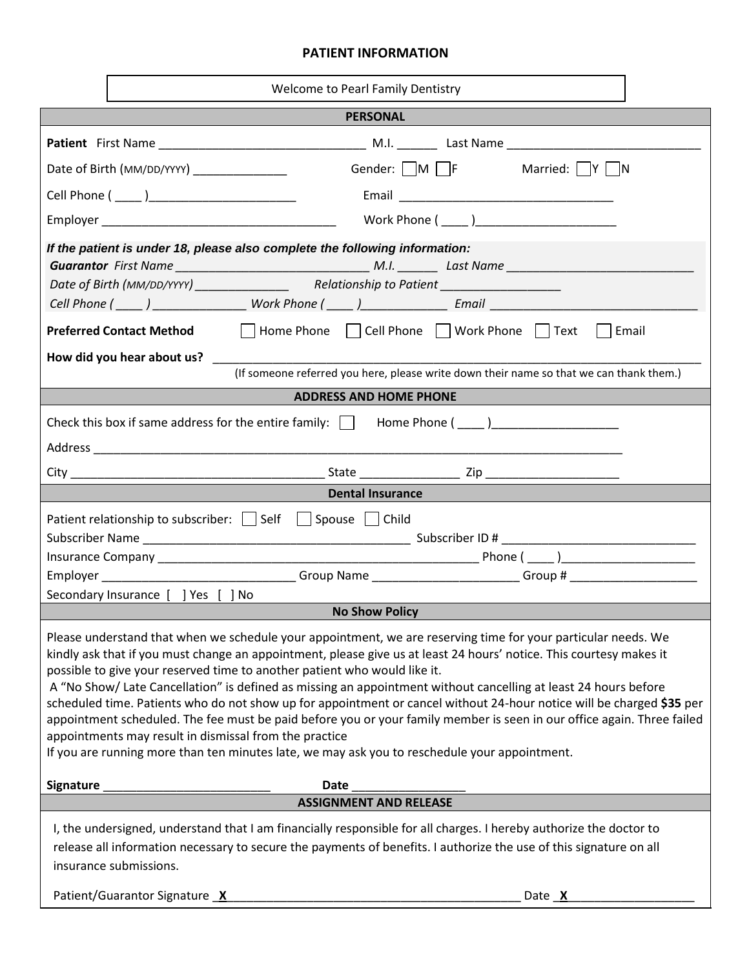## **PATIENT INFORMATION**

| Welcome to Pearl Family Dentistry                                                                                                                                                                                                                                                                                                                                                                                                                                                                                                                                                                                                                                                                                                                                                                                                                  |  |  |  |  |  |
|----------------------------------------------------------------------------------------------------------------------------------------------------------------------------------------------------------------------------------------------------------------------------------------------------------------------------------------------------------------------------------------------------------------------------------------------------------------------------------------------------------------------------------------------------------------------------------------------------------------------------------------------------------------------------------------------------------------------------------------------------------------------------------------------------------------------------------------------------|--|--|--|--|--|
| <b>PERSONAL</b>                                                                                                                                                                                                                                                                                                                                                                                                                                                                                                                                                                                                                                                                                                                                                                                                                                    |  |  |  |  |  |
|                                                                                                                                                                                                                                                                                                                                                                                                                                                                                                                                                                                                                                                                                                                                                                                                                                                    |  |  |  |  |  |
| Gender: $\Box M$ $\Box F$ Married: $\Box Y$ N<br>Date of Birth (MM/DD/YYYY)                                                                                                                                                                                                                                                                                                                                                                                                                                                                                                                                                                                                                                                                                                                                                                        |  |  |  |  |  |
|                                                                                                                                                                                                                                                                                                                                                                                                                                                                                                                                                                                                                                                                                                                                                                                                                                                    |  |  |  |  |  |
|                                                                                                                                                                                                                                                                                                                                                                                                                                                                                                                                                                                                                                                                                                                                                                                                                                                    |  |  |  |  |  |
| If the patient is under 18, please also complete the following information:                                                                                                                                                                                                                                                                                                                                                                                                                                                                                                                                                                                                                                                                                                                                                                        |  |  |  |  |  |
| <b>Preferred Contact Method</b> Thome Phone The Cell Phone Thome The Text Themail                                                                                                                                                                                                                                                                                                                                                                                                                                                                                                                                                                                                                                                                                                                                                                  |  |  |  |  |  |
| How did you hear about us?                                                                                                                                                                                                                                                                                                                                                                                                                                                                                                                                                                                                                                                                                                                                                                                                                         |  |  |  |  |  |
| (If someone referred you here, please write down their name so that we can thank them.)                                                                                                                                                                                                                                                                                                                                                                                                                                                                                                                                                                                                                                                                                                                                                            |  |  |  |  |  |
| <b>ADDRESS AND HOME PHONE</b>                                                                                                                                                                                                                                                                                                                                                                                                                                                                                                                                                                                                                                                                                                                                                                                                                      |  |  |  |  |  |
|                                                                                                                                                                                                                                                                                                                                                                                                                                                                                                                                                                                                                                                                                                                                                                                                                                                    |  |  |  |  |  |
|                                                                                                                                                                                                                                                                                                                                                                                                                                                                                                                                                                                                                                                                                                                                                                                                                                                    |  |  |  |  |  |
|                                                                                                                                                                                                                                                                                                                                                                                                                                                                                                                                                                                                                                                                                                                                                                                                                                                    |  |  |  |  |  |
| <b>Dental Insurance</b>                                                                                                                                                                                                                                                                                                                                                                                                                                                                                                                                                                                                                                                                                                                                                                                                                            |  |  |  |  |  |
| Patient relationship to subscriber: $\Box$ Self $\Box$ Spouse $\Box$ Child<br>Employer __________________________________Group Name __________________________Group # ______________________<br>Secondary Insurance [ ] Yes [ ] No                                                                                                                                                                                                                                                                                                                                                                                                                                                                                                                                                                                                                 |  |  |  |  |  |
| <b>No Show Policy</b>                                                                                                                                                                                                                                                                                                                                                                                                                                                                                                                                                                                                                                                                                                                                                                                                                              |  |  |  |  |  |
| Please understand that when we schedule your appointment, we are reserving time for your particular needs. We<br>kindly ask that if you must change an appointment, please give us at least 24 hours' notice. This courtesy makes it<br>possible to give your reserved time to another patient who would like it.<br>A "No Show/ Late Cancellation" is defined as missing an appointment without cancelling at least 24 hours before<br>scheduled time. Patients who do not show up for appointment or cancel without 24-hour notice will be charged \$35 per<br>appointment scheduled. The fee must be paid before you or your family member is seen in our office again. Three failed<br>appointments may result in dismissal from the practice<br>If you are running more than ten minutes late, we may ask you to reschedule your appointment. |  |  |  |  |  |
| <b>Date</b><br><b>Signature</b>                                                                                                                                                                                                                                                                                                                                                                                                                                                                                                                                                                                                                                                                                                                                                                                                                    |  |  |  |  |  |
| <b>ASSIGNMENT AND RELEASE</b>                                                                                                                                                                                                                                                                                                                                                                                                                                                                                                                                                                                                                                                                                                                                                                                                                      |  |  |  |  |  |
| I, the undersigned, understand that I am financially responsible for all charges. I hereby authorize the doctor to<br>release all information necessary to secure the payments of benefits. I authorize the use of this signature on all<br>insurance submissions.                                                                                                                                                                                                                                                                                                                                                                                                                                                                                                                                                                                 |  |  |  |  |  |
| Patient/Guarantor Signature X<br>Date X                                                                                                                                                                                                                                                                                                                                                                                                                                                                                                                                                                                                                                                                                                                                                                                                            |  |  |  |  |  |